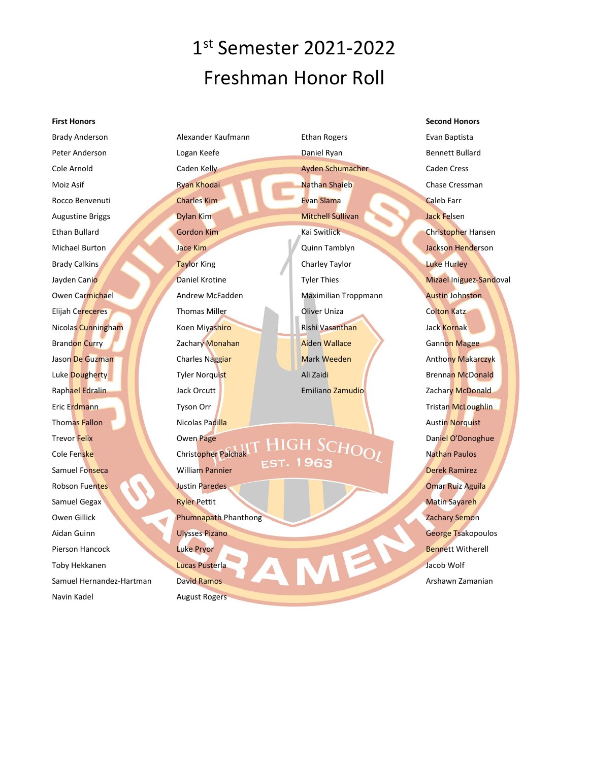### 1 st Semester 2021-2022 Freshman Honor Roll

#### **First Honors**

Brady Anderson Peter Anderson Cole Arnold Moiz Asif Rocco Benvenuti Augustine Briggs Ethan Bullard Michael Burton Brady Calkins Jayden Canio Owen Carmichael Elijah Cereceres Nicolas Cunningham Brandon Curry Jason De Guzman Luke Dougherty Raphael Edralin Eric Erdmann Thomas Fallon Trevor Felix Cole Fenske Samuel Fonseca Robson Fuentes Samuel Gegax Owen Gillick Aidan Guinn Pierson Hancock Toby Hekkanen Samuel Hernandez-Hartman Navin Kadel

Alexander Kaufmann Logan Keefe Caden Kelly Ryan Khodai Charles Kim Dylan Kim Gordon Kim Jace Kim Taylor King Daniel Krotine Andrew McFadden Thomas Miller Koen Miyashiro Zachary Monahan Charles Naggiar Tyler Norquist Jack Orcutt Tyson Orr Nicolas Padilla Owen Page Christopher Palchak William Pannier Justin Paredes Ryler Pettit Phumnapath Phanthong Ulysses Pizano Luke Pryor Lucas Pusterla David Ramos August Rogers

Ethan Rogers Daniel Ryan Ayden Schumacher Nathan Shaieb Evan Slama Mitchell Sullivan Kai Switlick Quinn Tamblyn Charley Taylor Tyler Thies Maximilian Troppmann Oliver Uniza Rishi Vasanthan Aiden Wallace Mark Weeden Ali Zaidi Emiliano Zamudio

### HIGH SCHOOL **EST. 1963**

**Second Honors** Evan Baptista Bennett Bullard Caden Cress Chase Cressman Caleb Farr Jack Felsen Christopher Hansen Jackson Henderson Luke Hurley Mizael Iniguez-Sandoval Austin Johnston Colton Katz Jack Kornak Gannon Magee Anthony Makarczyk Brennan McDonald Zachary McDonald Tristan McLoughlin Austin Norquist Daniel O'Donoghue Nathan Paulos Derek Ramirez Omar Ruiz Aguila Matin Sayareh Zachary Semon George Tsakopoulos Bennett Witherell Jacob Wolf Arshawn Zamanian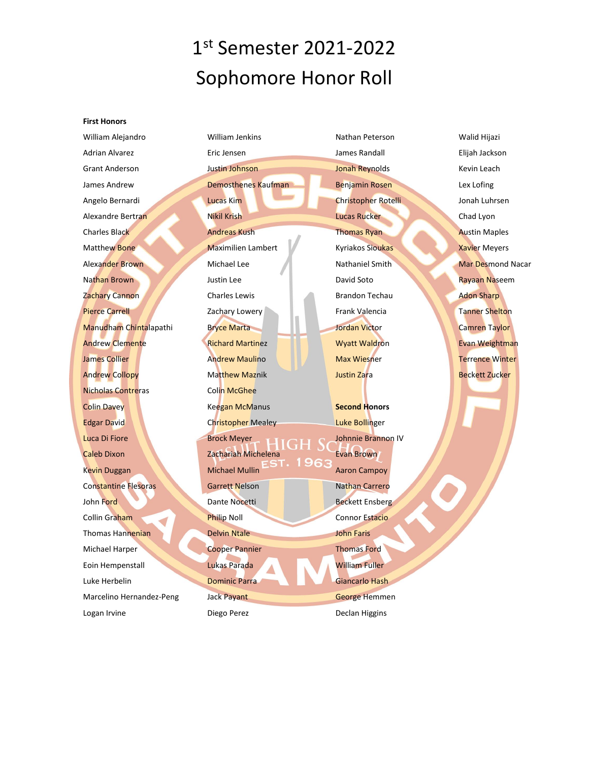# 1 st Semester 2021-2022 Sophomore Honor Roll

#### **First Honors**

William Alejandro Adrian Alvarez Grant Anderson James Andrew Angelo Bernardi Alexandre Bertran Charles Black Matthew Bone Alexander Brown Nathan Brown Zachary Cannon Pierce Carrell Manudham Chintalapathi Andrew Clemente James Collier Andrew Collopy Nicholas Contreras Colin Davey Edgar David Luca Di Fiore Caleb Dixon Kevin Duggan Constantine Flesoras John Ford Collin Graham Thomas Hannenian Michael Harper Eoin Hempenstall Luke Herbelin Marcelino Hernandez-Peng Logan Irvine

William Jenkins Eric Jensen Justin Johnson Demosthenes Kaufman Lucas Kim Nikil Krish Andreas Kush Maximilien Lambert Michael Lee Justin Lee Charles Lewis Zachary Lowery Bryce Marta Richard Martinez Andrew Maulino Matthew Maznik Colin McGhee Keegan McManus Christopher Mealey Brock Meyer Zachariah Michelena Michael Mullin Garrett Nelson Dante Nocetti Philip Noll Delvin Ntale Cooper Pannier Lukas Parada Dominic Parra Jack Payant

Diego Perez

Nathan Peterson James Randall Jonah Reynolds Benjamin Rosen Christopher Rotelli Lucas Rucker Thomas Ryan Kyriakos Sioukas Nathaniel Smith David Soto Brandon Techau Frank Valencia Jordan Victor Wyatt Waldron Max Wiesner Justin Zara

**Second Honors** Luke Bollinger Johnnie Brannon IV Evan Brown Aaron Campoy Nathan Carrero Beckett Ensberg Connor Estacio John Faris Thomas Ford William Fuller Giancarlo Hash George Hemmen Declan Higgins

Walid Hijazi Elijah Jackson Kevin Leach Lex Lofing Jonah Luhrsen Chad Lyon Austin Maples Xavier Meyers Mar Desmond Nacar Rayaan Naseem Adon Sharp Tanner Shelton Camren Taylor Evan Weightman Terrence Winter Beckett Zucker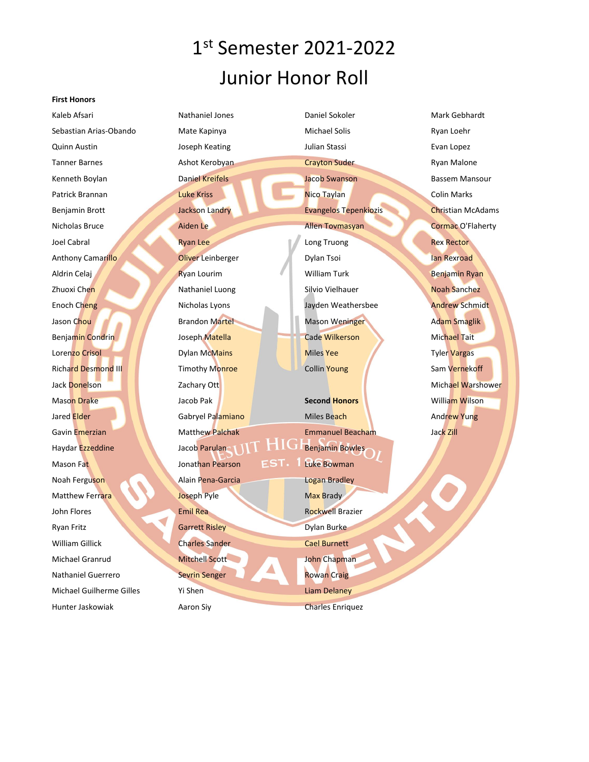# 1 st Semester 2021-2022 Junior Honor Roll

#### **First Honors**

Kaleb Afsari Sebastian Arias-Obando Quinn Austin Tanner Barnes Kenneth Boylan Patrick Brannan Benjamin Brott Nicholas Bruce Joel Cabral Anthony Camarillo Aldrin Celaj Zhuoxi Chen Enoch Cheng Jason Chou Benjamin Condrin Lorenzo Crisol Richard Desmond III Jack Donelson Mason Drake Jared Elder Gavin Emerzian Haydar Ezzeddine Mason Fat Noah Ferguson Matthew Ferrara John Flores Ryan Fritz William Gillick Michael Granrud Nathaniel Guerrero Michael Guilherme Gilles Hunter Jaskowiak

Nathaniel Jones Mate Kapinya Joseph Keating Ashot Kerobyan Daniel Kreifels Luke Kriss Jackson Landry Aiden Le Ryan Lee Oliver Leinberger Ryan Lourim Nathaniel Luong Nicholas Lyons Brandon Martel Joseph Matella Dylan McMains **Timothy Monroe** Zachary Ott Jacob Pak Gabryel Palamiano Matthew Palchak Jacob Parulan Jonathan Pearson Alain Pena-Garcia Joseph Pyle Emil Rea Garrett Risley Charles Sander Mitchell Scott Sevrin Senger Yi Shen Aaron Siy Daniel Sokoler Michael Solis Julian Stassi Crayton Suder Jacob Swanson Nico Taylan Evangelos Tepenkiozis Allen Tovmasyan Long Truong Dylan Tsoi William Turk Silvio Vielhauer Jayden Weathersbee Mason Weninger Cade Wilkerson Miles Yee Collin Young **Second Honors** Miles Beach Emmanuel Beacham Benjamin Bowles Luke Bowman Logan Bradley Max Brady Rockwell Brazier Dylan Burke Cael Burnett John Chapman Rowan Craig Liam Delaney Charles Enriquez

Mark Gebhardt Ryan Loehr Evan Lopez Ryan Malone Bassem Mansour Colin Marks Christian McAdams Cormac O'Flaherty Rex Rector Ian Rexroad Benjamin Ryan Noah Sanchez Andrew Schmidt Adam Smaglik Michael Tait Tyler Vargas Sam Vernekoff Michael Warshower William Wilson Andrew Yung Jack Zill